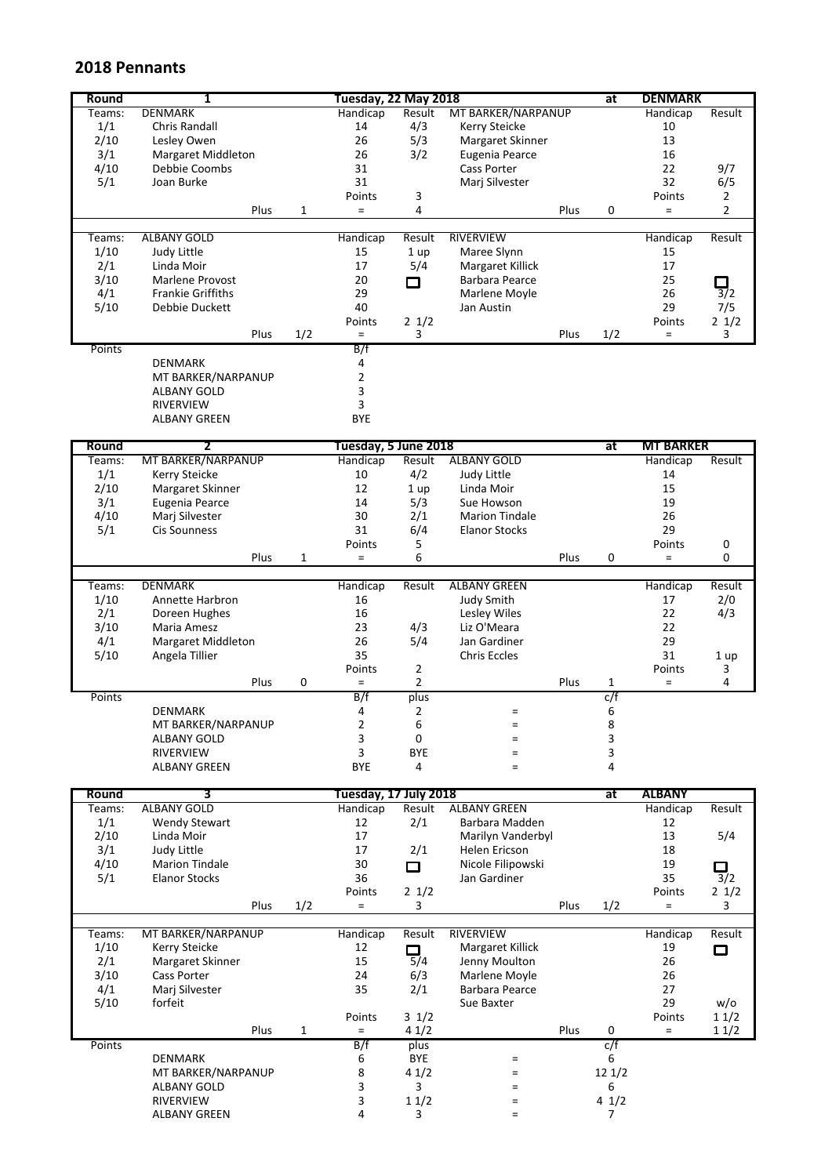## **2018 Pennants**

| Round           | 1                                             |              | Tuesday, 22 May 2018             |                           |                                          |      | at             | <b>DENMARK</b>               |                            |
|-----------------|-----------------------------------------------|--------------|----------------------------------|---------------------------|------------------------------------------|------|----------------|------------------------------|----------------------------|
| Teams:          | <b>DENMARK</b>                                |              | Handicap                         | Result                    | MT BARKER/NARPANUP                       |      |                | Handicap                     | Result                     |
| 1/1             | <b>Chris Randall</b>                          |              | 14                               | 4/3                       | Kerry Steicke                            |      |                | 10                           |                            |
| 2/10            | Lesley Owen                                   |              | 26                               | 5/3                       | Margaret Skinner                         |      |                | 13                           |                            |
| 3/1             | <b>Margaret Middleton</b><br>Debbie Coombs    |              | 26<br>31                         | 3/2                       | Eugenia Pearce<br><b>Cass Porter</b>     |      |                | 16<br>22                     |                            |
| 4/10<br>5/1     | Joan Burke                                    |              | 31                               |                           | Mari Silvester                           |      |                | 32                           | 9/7<br>6/5                 |
|                 |                                               |              | Points                           | 3                         |                                          |      |                | Points                       | $\overline{2}$             |
|                 | Plus                                          | $\mathbf{1}$ | $=$                              | 4                         |                                          | Plus | 0              | $=$                          | 2                          |
|                 |                                               |              |                                  |                           |                                          |      |                |                              |                            |
| Teams:          | <b>ALBANY GOLD</b>                            |              | Handicap                         | Result                    | <b>RIVERVIEW</b>                         |      |                | Handicap                     | Result                     |
| 1/10            | Judy Little                                   |              | 15                               | 1 up                      | Maree Slynn                              |      |                | 15                           |                            |
| 2/1             | Linda Moir                                    |              | 17                               | 5/4                       | <b>Margaret Killick</b>                  |      |                | 17                           |                            |
| 3/10            | <b>Marlene Provost</b>                        |              | 20                               | □                         | Barbara Pearce                           |      |                | 25                           |                            |
| 4/1             | <b>Frankie Griffiths</b>                      |              | 29                               |                           | Marlene Moyle                            |      |                | 26                           | $\overline{3}/2$           |
| 5/10            | Debbie Duckett                                |              | 40                               |                           | Jan Austin                               |      |                | 29                           | 7/5                        |
|                 | Plus                                          | 1/2          | Points<br>$\equiv$               | $2 \frac{1}{2}$<br>3      |                                          | Plus | 1/2            | Points<br>$=$                | 21/2<br>3                  |
| Points          |                                               |              | B/f                              |                           |                                          |      |                |                              |                            |
|                 | <b>DENMARK</b>                                |              | 4                                |                           |                                          |      |                |                              |                            |
|                 | MT BARKER/NARPANUP                            |              | $\overline{2}$                   |                           |                                          |      |                |                              |                            |
|                 | ALBANY GOLD                                   |              | 3                                |                           |                                          |      |                |                              |                            |
|                 | <b>RIVERVIEW</b>                              |              | 3                                |                           |                                          |      |                |                              |                            |
|                 | <b>ALBANY GREEN</b>                           |              | <b>BYE</b>                       |                           |                                          |      |                |                              |                            |
|                 |                                               |              |                                  |                           |                                          |      |                |                              |                            |
| Round<br>Teams: | 2<br>MT BARKER/NARPANUP                       |              | Tuesday, 5 June 2018<br>Handicap | Result                    | <b>ALBANY GOLD</b>                       |      | at             | <b>MT BARKER</b><br>Handicap | Result                     |
| 1/1             | Kerry Steicke                                 |              | 10                               | 4/2                       | Judy Little                              |      |                | 14                           |                            |
| 2/10            | Margaret Skinner                              |              | 12                               | 1 up                      | Linda Moir                               |      |                | 15                           |                            |
| 3/1             | Eugenia Pearce                                |              | 14                               | 5/3                       | Sue Howson                               |      |                | 19                           |                            |
| 4/10            | Marj Silvester                                |              | 30                               | 2/1                       | <b>Marion Tindale</b>                    |      |                | 26                           |                            |
| 5/1             | <b>Cis Sounness</b>                           |              | 31                               | 6/4                       | <b>Elanor Stocks</b>                     |      |                | 29                           |                            |
|                 |                                               |              | Points                           | 5                         |                                          |      |                | Points                       | 0                          |
|                 | Plus                                          | $\mathbf{1}$ | $\equiv$                         | 6                         |                                          | Plus | 0              | $=$                          | 0                          |
|                 |                                               |              |                                  |                           |                                          |      |                |                              |                            |
| Teams:<br>1/10  | <b>DENMARK</b><br>Annette Harbron             |              | Handicap<br>16                   | Result                    | <b>ALBANY GREEN</b><br><b>Judy Smith</b> |      |                | Handicap<br>17               | Result<br>2/0              |
| 2/1             | Doreen Hughes                                 |              | 16                               |                           | Lesley Wiles                             |      |                | 22                           | 4/3                        |
| 3/10            | Maria Amesz                                   |              | 23                               | 4/3                       | Liz O'Meara                              |      |                | 22                           |                            |
| 4/1             | Margaret Middleton                            |              | 26                               | 5/4                       | Jan Gardiner                             |      |                | 29                           |                            |
| 5/10            | Angela Tillier                                |              | 35                               |                           | <b>Chris Eccles</b>                      |      |                | 31                           | 1 up                       |
|                 |                                               |              | Points                           | $\overline{2}$            |                                          |      |                | Points                       | 3                          |
|                 | Plus                                          | 0            | $\equiv$                         | $\overline{2}$            |                                          | Plus | $\mathbf{1}$   | $=$                          | 4                          |
| Points          |                                               |              | B/f                              | plus                      |                                          |      | c/f            |                              |                            |
|                 | <b>DENMARK</b>                                |              | 4                                | $\overline{2}$            | $=$                                      |      | 6              |                              |                            |
|                 | MT BARKER/NARPANUP                            |              | $\mathbf 2$                      | 6                         | $\equiv$                                 |      | $\bf 8$        |                              |                            |
|                 | ALBANY GOLD<br>RIVERVIEW                      |              | 3<br>3                           | $\mathbf 0$<br><b>BYE</b> | $=$                                      |      | 3<br>3         |                              |                            |
|                 | ALBANY GREEN                                  |              | BYE                              | 4                         | $=$<br>$=$                               |      | 4              |                              |                            |
|                 |                                               |              |                                  |                           |                                          |      |                |                              |                            |
| <b>Round</b>    | 3                                             |              | Tuesday, 17 July 2018            |                           |                                          |      | at             | <b>ALBANY</b>                |                            |
| Teams:          | <b>ALBANY GOLD</b>                            |              | Handicap                         | Result                    | <b>ALBANY GREEN</b>                      |      |                | Handicap                     | Result                     |
| 1/1             | <b>Wendy Stewart</b>                          |              | 12                               | 2/1                       | Barbara Madden                           |      |                | 12                           |                            |
| 2/10            | Linda Moir                                    |              | 17                               |                           | Marilyn Vanderbyl                        |      |                | 13                           | 5/4                        |
| 3/1             | Judy Little                                   |              | 17                               | 2/1                       | <b>Helen Ericson</b>                     |      |                | 18                           |                            |
| 4/10<br>5/1     | <b>Marion Tindale</b><br><b>Elanor Stocks</b> |              | 30<br>36                         | $\Box$                    | Nicole Filipowski<br>Jan Gardiner        |      |                | 19<br>35                     | $\Box$<br>$\overline{3}/2$ |
|                 |                                               |              | Points                           | $2 \frac{1}{2}$           |                                          |      |                | Points                       | 21/2                       |
|                 | Plus                                          | 1/2          | $=$                              | 3                         |                                          | Plus | 1/2            | $=$                          | 3                          |
|                 |                                               |              |                                  |                           |                                          |      |                |                              |                            |
| Teams:          | MT BARKER/NARPANUP                            |              | Handicap                         | Result                    | <b>RIVERVIEW</b>                         |      |                | Handicap                     | Result                     |
| 1/10            | Kerry Steicke                                 |              | 12                               | □                         | Margaret Killick                         |      |                | 19                           | □                          |
| 2/1             | Margaret Skinner                              |              | 15                               | 5/4                       | Jenny Moulton                            |      |                | 26                           |                            |
| 3/10            | Cass Porter                                   |              | 24<br>35                         | 6/3                       | Marlene Moyle<br><b>Barbara Pearce</b>   |      |                | 26                           |                            |
| 4/1<br>5/10     | Marj Silvester<br>forfeit                     |              |                                  | 2/1                       | Sue Baxter                               |      |                | 27<br>29                     | w/o                        |
|                 |                                               |              | Points                           | $3 \frac{1}{2}$           |                                          |      |                | Points                       | 11/2                       |
|                 | Plus                                          | $\mathbf{1}$ | $=$                              | 41/2                      |                                          | Plus | $\mathbf 0$    | $=$                          | 11/2                       |
| Points          |                                               |              | B/f                              | plus                      |                                          |      | c/f            |                              |                            |
|                 | <b>DENMARK</b>                                |              | 6                                | <b>BYE</b>                | $\quad =$                                |      | 6              |                              |                            |
|                 | MT BARKER/NARPANUP                            |              | 8                                | 41/2                      | $\equiv$                                 |      | 121/2          |                              |                            |
|                 | ALBANY GOLD                                   |              | 3                                | 3                         | $=$                                      |      | 6              |                              |                            |
|                 | RIVERVIEW                                     |              | 3<br>4                           | 11/2                      | $=$                                      |      | 41/2           |                              |                            |
|                 | <b>ALBANY GREEN</b>                           |              |                                  | 3                         | $=$                                      |      | $\overline{7}$ |                              |                            |